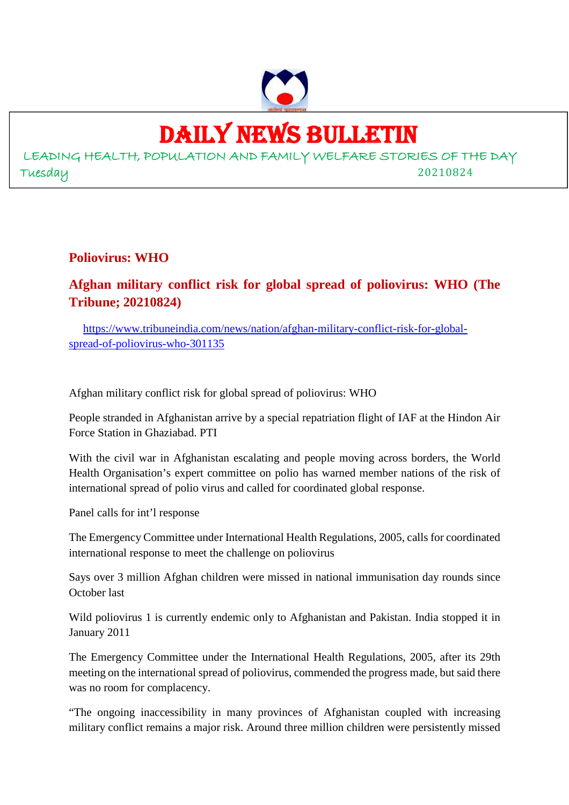

# DAILY NEWS BULLETIN

LEADING HEALTH, POPULATION AND FAMILY WELFARE STORIES OF THE DAY Tuesday 20210824

**Poliovirus: WHO**

# **Afghan military conflict risk for global spread of poliovirus: WHO (The Tribune; 20210824)**

https://www.tribuneindia.com/news/nation/afghan-military-conflict-risk-for-globalspread-of-poliovirus-who-301135

Afghan military conflict risk for global spread of poliovirus: WHO

People stranded in Afghanistan arrive by a special repatriation flight of IAF at the Hindon Air Force Station in Ghaziabad. PTI

With the civil war in Afghanistan escalating and people moving across borders, the World Health Organisation's expert committee on polio has warned member nations of the risk of international spread of polio virus and called for coordinated global response.

Panel calls for int'l response

The Emergency Committee under International Health Regulations, 2005, calls for coordinated international response to meet the challenge on poliovirus

Says over 3 million Afghan children were missed in national immunisation day rounds since October last

Wild poliovirus 1 is currently endemic only to Afghanistan and Pakistan. India stopped it in January 2011

The Emergency Committee under the International Health Regulations, 2005, after its 29th meeting on the international spread of poliovirus, commended the progress made, but said there was no room for complacency.

"The ongoing inaccessibility in many provinces of Afghanistan coupled with increasing military conflict remains a major risk. Around three million children were persistently missed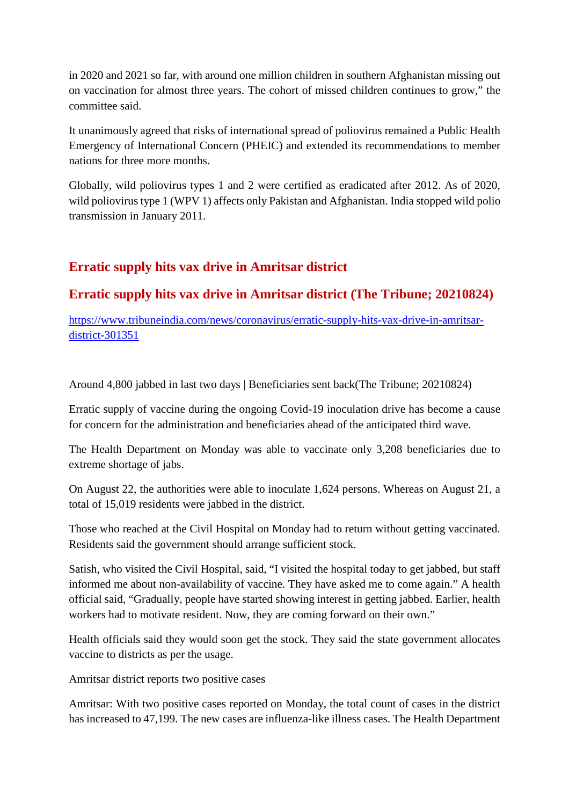in 2020 and 2021 so far, with around one million children in southern Afghanistan missing out on vaccination for almost three years. The cohort of missed children continues to grow," the committee said.

It unanimously agreed that risks of international spread of poliovirus remained a Public Health Emergency of International Concern (PHEIC) and extended its recommendations to member nations for three more months.

Globally, wild poliovirus types 1 and 2 were certified as eradicated after 2012. As of 2020, wild poliovirus type 1 (WPV 1) affects only Pakistan and Afghanistan. India stopped wild polio transmission in January 2011.

# **Erratic supply hits vax drive in Amritsar district**

# **Erratic supply hits vax drive in Amritsar district (The Tribune; 20210824)**

https://www.tribuneindia.com/news/coronavirus/erratic-supply-hits-vax-drive-in-amritsardistrict-301351

Around 4,800 jabbed in last two days | Beneficiaries sent back(The Tribune; 20210824)

Erratic supply of vaccine during the ongoing Covid-19 inoculation drive has become a cause for concern for the administration and beneficiaries ahead of the anticipated third wave.

The Health Department on Monday was able to vaccinate only 3,208 beneficiaries due to extreme shortage of jabs.

On August 22, the authorities were able to inoculate 1,624 persons. Whereas on August 21, a total of 15,019 residents were jabbed in the district.

Those who reached at the Civil Hospital on Monday had to return without getting vaccinated. Residents said the government should arrange sufficient stock.

Satish, who visited the Civil Hospital, said, "I visited the hospital today to get jabbed, but staff informed me about non-availability of vaccine. They have asked me to come again." A health official said, "Gradually, people have started showing interest in getting jabbed. Earlier, health workers had to motivate resident. Now, they are coming forward on their own."

Health officials said they would soon get the stock. They said the state government allocates vaccine to districts as per the usage.

Amritsar district reports two positive cases

Amritsar: With two positive cases reported on Monday, the total count of cases in the district has increased to 47,199. The new cases are influenza-like illness cases. The Health Department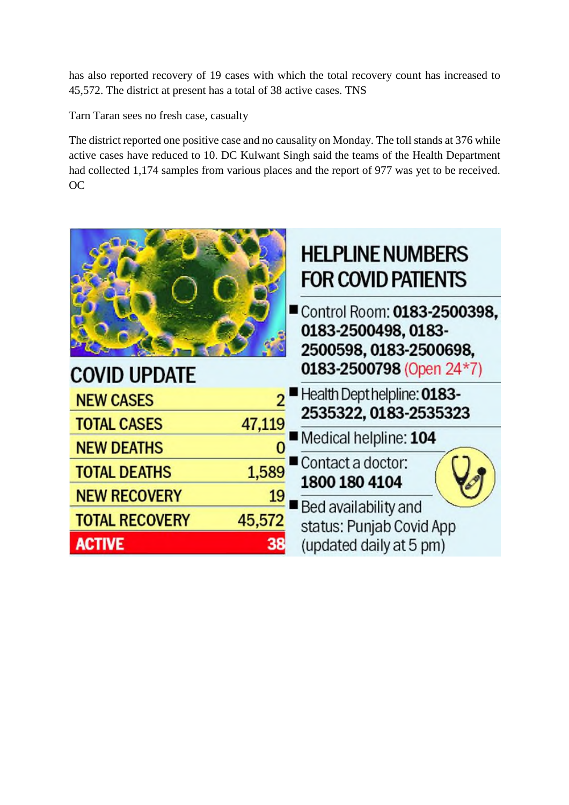has also reported recovery of 19 cases with which the total recovery count has increased to 45,572. The district at present has a total of 38 active cases. TNS

Tarn Taran sees no fresh case, casualty

The district reported one positive case and no causality on Monday. The toll stands at 376 while active cases have reduced to 10. DC Kulwant Singh said the teams of the Health Department had collected 1,174 samples from various places and the report of 977 was yet to be received. OC

|                       |        | <b>HELPLINE NUMBERS</b><br><b>FOR COVID PATIENTS</b>                                                     |
|-----------------------|--------|----------------------------------------------------------------------------------------------------------|
| <b>COVID UPDATE</b>   |        | Control Room: 0183-2500398,<br>0183-2500498, 0183-<br>2500598, 0183-2500698,<br>0183-2500798 (Open 24*7) |
| <b>NEW CASES</b>      |        | Health Dept helpline: 0183-                                                                              |
| <b>TOTAL CASES</b>    | 47,119 | 2535322, 0183-2535323                                                                                    |
|                       |        | Medical helpline: 104                                                                                    |
| <b>NEW DEATHS</b>     |        |                                                                                                          |
| <b>TOTAL DEATHS</b>   | 1,589  | Contact a doctor:<br>1800 180 4104                                                                       |
| <b>NEW RECOVERY</b>   | 19     |                                                                                                          |
| <b>TOTAL RECOVERY</b> | 45,572 | Bed availability and                                                                                     |
|                       |        | status: Punjab Covid App                                                                                 |
| <b>ACTIVE</b>         | 38     | (updated daily at 5 pm)                                                                                  |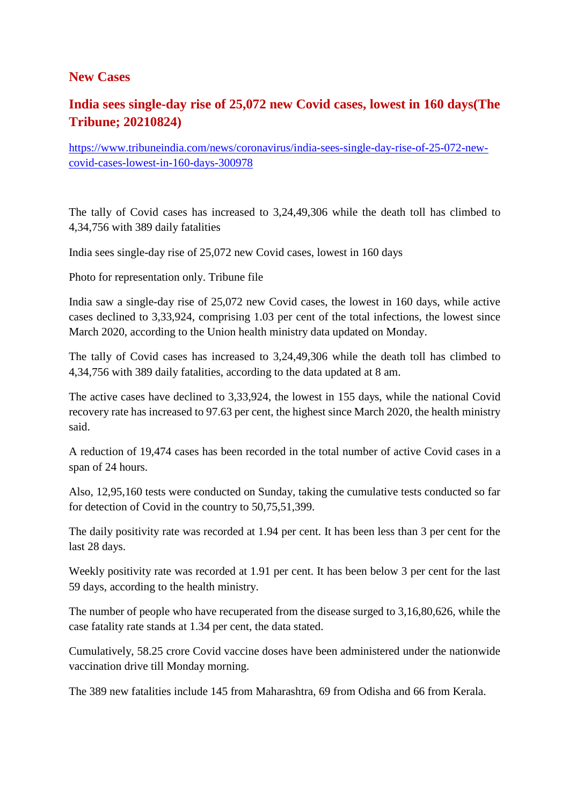#### **New Cases**

# **India sees single-day rise of 25,072 new Covid cases, lowest in 160 days(The Tribune; 20210824)**

https://www.tribuneindia.com/news/coronavirus/india-sees-single-day-rise-of-25-072-newcovid-cases-lowest-in-160-days-300978

The tally of Covid cases has increased to 3,24,49,306 while the death toll has climbed to 4,34,756 with 389 daily fatalities

India sees single-day rise of 25,072 new Covid cases, lowest in 160 days

Photo for representation only. Tribune file

India saw a single-day rise of 25,072 new Covid cases, the lowest in 160 days, while active cases declined to 3,33,924, comprising 1.03 per cent of the total infections, the lowest since March 2020, according to the Union health ministry data updated on Monday.

The tally of Covid cases has increased to 3,24,49,306 while the death toll has climbed to 4,34,756 with 389 daily fatalities, according to the data updated at 8 am.

The active cases have declined to 3,33,924, the lowest in 155 days, while the national Covid recovery rate has increased to 97.63 per cent, the highest since March 2020, the health ministry said.

A reduction of 19,474 cases has been recorded in the total number of active Covid cases in a span of 24 hours.

Also, 12,95,160 tests were conducted on Sunday, taking the cumulative tests conducted so far for detection of Covid in the country to 50,75,51,399.

The daily positivity rate was recorded at 1.94 per cent. It has been less than 3 per cent for the last 28 days.

Weekly positivity rate was recorded at 1.91 per cent. It has been below 3 per cent for the last 59 days, according to the health ministry.

The number of people who have recuperated from the disease surged to 3,16,80,626, while the case fatality rate stands at 1.34 per cent, the data stated.

Cumulatively, 58.25 crore Covid vaccine doses have been administered under the nationwide vaccination drive till Monday morning.

The 389 new fatalities include 145 from Maharashtra, 69 from Odisha and 66 from Kerala.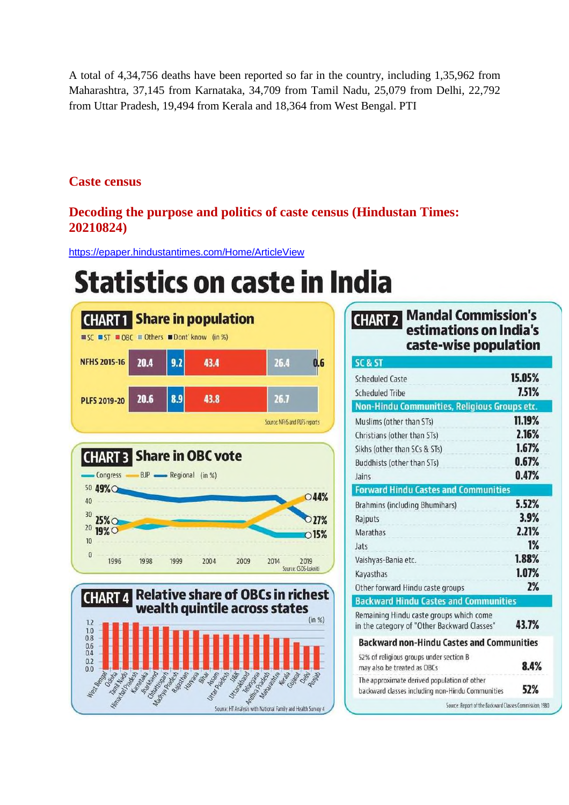A total of 4,34,756 deaths have been reported so far in the country, including 1,35,962 from Maharashtra, 37,145 from Karnataka, 34,709 from Tamil Nadu, 25,079 from Delhi, 22,792 from Uttar Pradesh, 19,494 from Kerala and 18,364 from West Bengal. PTI

### **Caste census**

## **Decoding the purpose and politics of caste census (Hindustan Times: 20210824)**

https://epaper.hindustantimes.com/Home/ArticleView

# **Statistics on caste in India**







#### **Mandal Commission's CHART 2** estimations on India's caste-wise population

| <b>SC &amp; ST</b>                                                                              |        |
|-------------------------------------------------------------------------------------------------|--------|
| <b>Scheduled Caste</b>                                                                          | 15.05% |
| <b>Scheduled Tribe</b>                                                                          | 7.51%  |
| Non-Hindu Communities, Religious Groups etc.                                                    |        |
| Muslims (other than STs)                                                                        | 11.19% |
| Christians (other than STs)                                                                     | 2.16%  |
| Sikhs (other than SCs & STs)                                                                    | 1.67%  |
| Buddhists (other than STs)                                                                      | 0.67%  |
| Jains                                                                                           | 0.47%  |
| <b>Forward Hindu Castes and Communities</b>                                                     |        |
| Brahmins (including Bhumihars)                                                                  | 5.52%  |
| Rajputs                                                                                         | 3.9%   |
| <b>Marathas</b>                                                                                 | 2.21%  |
| Jats                                                                                            | 1%     |
| Vaishyas-Bania etc.                                                                             | 1.88%  |
| Kayasthas                                                                                       | 1.07%  |
| Other forward Hindu caste groups                                                                | 2%     |
| <b>Backward Hindu Castes and Communities</b>                                                    |        |
| Remaining Hindu caste groups which come<br>in the category of "Other Backward Classes"          | 43.7%  |
| <b>Backward non-Hindu Castes and Communities</b>                                                |        |
| 52% of religious groups under section B<br>may also be treated as OBCs                          | 8.4%   |
| The approximate derived population of other<br>backward classes including non-Hindu Communities | 52%    |
| Source: Report of the Backward Classes Commission, 1980                                         |        |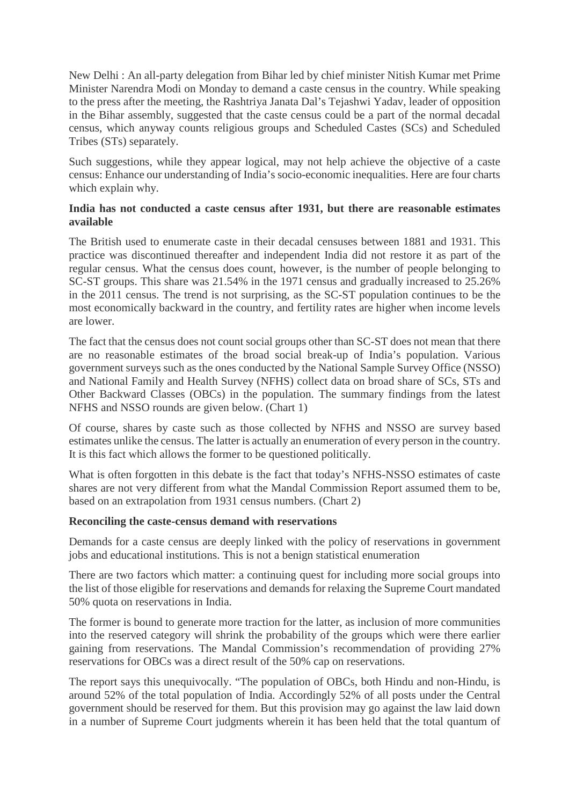New Delhi : An all-party delegation from Bihar led by chief minister Nitish Kumar met Prime Minister Narendra Modi on Monday to demand a caste census in the country. While speaking to the press after the meeting, the Rashtriya Janata Dal's Tejashwi Yadav, leader of opposition in the Bihar assembly, suggested that the caste census could be a part of the normal decadal census, which anyway counts religious groups and Scheduled Castes (SCs) and Scheduled Tribes (STs) separately.

Such suggestions, while they appear logical, may not help achieve the objective of a caste census: Enhance our understanding of India's socio-economic inequalities. Here are four charts which explain why.

#### **India has not conducted a caste census after 1931, but there are reasonable estimates available**

The British used to enumerate caste in their decadal censuses between 1881 and 1931. This practice was discontinued thereafter and independent India did not restore it as part of the regular census. What the census does count, however, is the number of people belonging to SC-ST groups. This share was 21.54% in the 1971 census and gradually increased to 25.26% in the 2011 census. The trend is not surprising, as the SC-ST population continues to be the most economically backward in the country, and fertility rates are higher when income levels are lower.

The fact that the census does not count social groups other than SC-ST does not mean that there are no reasonable estimates of the broad social break-up of India's population. Various government surveys such as the ones conducted by the National Sample Survey Office (NSSO) and National Family and Health Survey (NFHS) collect data on broad share of SCs, STs and Other Backward Classes (OBCs) in the population. The summary findings from the latest NFHS and NSSO rounds are given below. (Chart 1)

Of course, shares by caste such as those collected by NFHS and NSSO are survey based estimates unlike the census. The latter is actually an enumeration of every person in the country. It is this fact which allows the former to be questioned politically.

What is often forgotten in this debate is the fact that today's NFHS-NSSO estimates of caste shares are not very different from what the Mandal Commission Report assumed them to be, based on an extrapolation from 1931 census numbers. (Chart 2)

#### **Reconciling the caste-census demand with reservations**

Demands for a caste census are deeply linked with the policy of reservations in government jobs and educational institutions. This is not a benign statistical enumeration

There are two factors which matter: a continuing quest for including more social groups into the list of those eligible for reservations and demands for relaxing the Supreme Court mandated 50% quota on reservations in India.

The former is bound to generate more traction for the latter, as inclusion of more communities into the reserved category will shrink the probability of the groups which were there earlier gaining from reservations. The Mandal Commission's recommendation of providing 27% reservations for OBCs was a direct result of the 50% cap on reservations.

The report says this unequivocally. "The population of OBCs, both Hindu and non-Hindu, is around 52% of the total population of India. Accordingly 52% of all posts under the Central government should be reserved for them. But this provision may go against the law laid down in a number of Supreme Court judgments wherein it has been held that the total quantum of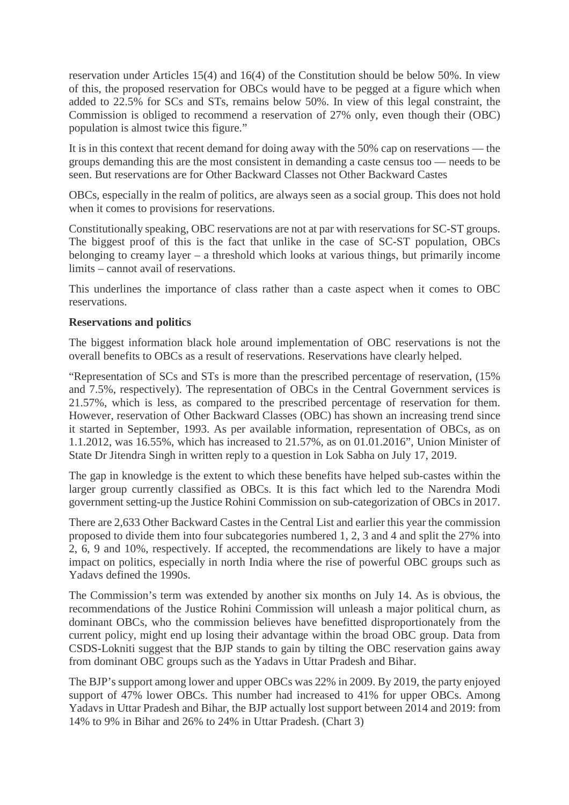reservation under Articles 15(4) and 16(4) of the Constitution should be below 50%. In view of this, the proposed reservation for OBCs would have to be pegged at a figure which when added to 22.5% for SCs and STs, remains below 50%. In view of this legal constraint, the Commission is obliged to recommend a reservation of 27% only, even though their (OBC) population is almost twice this figure."

It is in this context that recent demand for doing away with the 50% cap on reservations — the groups demanding this are the most consistent in demanding a caste census too — needs to be seen. But reservations are for Other Backward Classes not Other Backward Castes

OBCs, especially in the realm of politics, are always seen as a social group. This does not hold when it comes to provisions for reservations.

Constitutionally speaking, OBC reservations are not at par with reservations for SC-ST groups. The biggest proof of this is the fact that unlike in the case of SC-ST population, OBCs belonging to creamy layer – a threshold which looks at various things, but primarily income limits – cannot avail of reservations.

This underlines the importance of class rather than a caste aspect when it comes to OBC reservations.

#### **Reservations and politics**

The biggest information black hole around implementation of OBC reservations is not the overall benefits to OBCs as a result of reservations. Reservations have clearly helped.

"Representation of SCs and STs is more than the prescribed percentage of reservation, (15% and 7.5%, respectively). The representation of OBCs in the Central Government services is 21.57%, which is less, as compared to the prescribed percentage of reservation for them. However, reservation of Other Backward Classes (OBC) has shown an increasing trend since it started in September, 1993. As per available information, representation of OBCs, as on 1.1.2012, was 16.55%, which has increased to 21.57%, as on 01.01.2016", Union Minister of State Dr Jitendra Singh in written reply to a question in Lok Sabha on July 17, 2019.

The gap in knowledge is the extent to which these benefits have helped sub-castes within the larger group currently classified as OBCs. It is this fact which led to the Narendra Modi government setting-up the Justice Rohini Commission on sub-categorization of OBCs in 2017.

There are 2,633 Other Backward Castes in the Central List and earlier this year the commission proposed to divide them into four subcategories numbered 1, 2, 3 and 4 and split the 27% into 2, 6, 9 and 10%, respectively. If accepted, the recommendations are likely to have a major impact on politics, especially in north India where the rise of powerful OBC groups such as Yadavs defined the 1990s.

The Commission's term was extended by another six months on July 14. As is obvious, the recommendations of the Justice Rohini Commission will unleash a major political churn, as dominant OBCs, who the commission believes have benefitted disproportionately from the current policy, might end up losing their advantage within the broad OBC group. Data from CSDS-Lokniti suggest that the BJP stands to gain by tilting the OBC reservation gains away from dominant OBC groups such as the Yadavs in Uttar Pradesh and Bihar.

The BJP's support among lower and upper OBCs was 22% in 2009. By 2019, the party enjoyed support of 47% lower OBCs. This number had increased to 41% for upper OBCs. Among Yadavs in Uttar Pradesh and Bihar, the BJP actually lost support between 2014 and 2019: from 14% to 9% in Bihar and 26% to 24% in Uttar Pradesh. (Chart 3)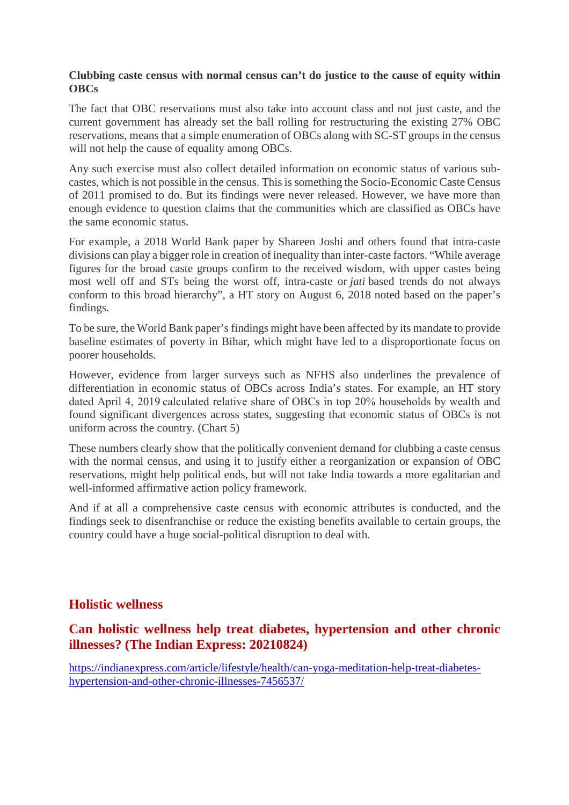#### **Clubbing caste census with normal census can't do justice to the cause of equity within OBCs**

The fact that OBC reservations must also take into account class and not just caste, and the current government has already set the ball rolling for restructuring the existing 27% OBC reservations, means that a simple enumeration of OBCs along with SC-ST groups in the census will not help the cause of equality among OBCs.

Any such exercise must also collect detailed information on economic status of various subcastes, which is not possible in the census. This is something the Socio-Economic Caste Census of 2011 promised to do. But its findings were never released. However, we have more than enough evidence to question claims that the communities which are classified as OBCs have the same economic status.

For example, a 2018 World Bank paper by Shareen Joshi and others found that intra-caste divisions can play a bigger role in creation of inequality than inter-caste factors. "While average figures for the broad caste groups confirm to the received wisdom, with upper castes being most well off and STs being the worst off, intra-caste or *jati* based trends do not always conform to this broad hierarchy", a HT story on August 6, 2018 noted based on the paper's findings.

To be sure, the World Bank paper's findings might have been affected by its mandate to provide baseline estimates of poverty in Bihar, which might have led to a disproportionate focus on poorer households.

However, evidence from larger surveys such as NFHS also underlines the prevalence of differentiation in economic status of OBCs across India's states. For example, an HT story dated April 4, 2019 calculated relative share of OBCs in top 20% households by wealth and found significant divergences across states, suggesting that economic status of OBCs is not uniform across the country. (Chart 5)

These numbers clearly show that the politically convenient demand for clubbing a caste census with the normal census, and using it to justify either a reorganization or expansion of OBC reservations, might help political ends, but will not take India towards a more egalitarian and well-informed affirmative action policy framework.

And if at all a comprehensive caste census with economic attributes is conducted, and the findings seek to disenfranchise or reduce the existing benefits available to certain groups, the country could have a huge social-political disruption to deal with.

#### **Holistic wellness**

#### **Can holistic wellness help treat diabetes, hypertension and other chronic illnesses? (The Indian Express: 20210824)**

https://indianexpress.com/article/lifestyle/health/can-yoga-meditation-help-treat-diabeteshypertension-and-other-chronic-illnesses-7456537/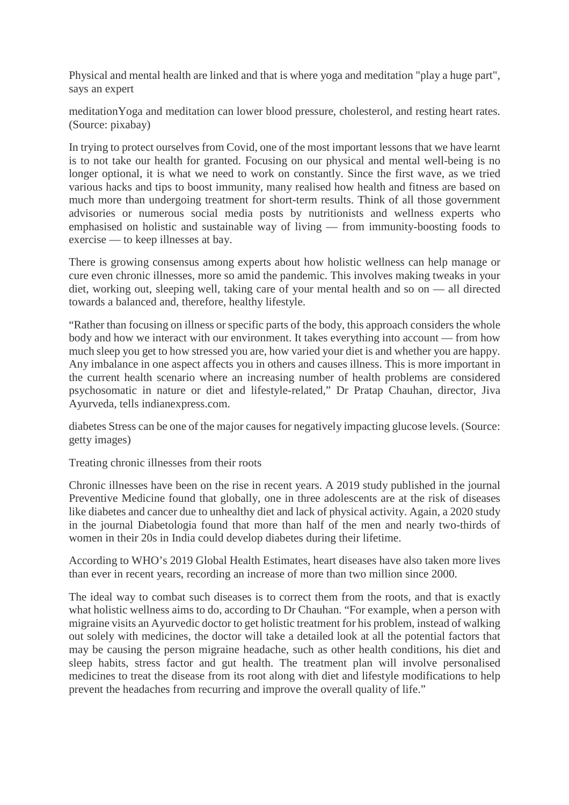Physical and mental health are linked and that is where yoga and meditation "play a huge part", says an expert

meditationYoga and meditation can lower blood pressure, cholesterol, and resting heart rates. (Source: pixabay)

In trying to protect ourselves from Covid, one of the most important lessons that we have learnt is to not take our health for granted. Focusing on our physical and mental well-being is no longer optional, it is what we need to work on constantly. Since the first wave, as we tried various hacks and tips to boost immunity, many realised how health and fitness are based on much more than undergoing treatment for short-term results. Think of all those government advisories or numerous social media posts by nutritionists and wellness experts who emphasised on holistic and sustainable way of living — from immunity-boosting foods to exercise — to keep illnesses at bay.

There is growing consensus among experts about how holistic wellness can help manage or cure even chronic illnesses, more so amid the pandemic. This involves making tweaks in your diet, working out, sleeping well, taking care of your mental health and so on — all directed towards a balanced and, therefore, healthy lifestyle.

"Rather than focusing on illness or specific parts of the body, this approach considers the whole body and how we interact with our environment. It takes everything into account — from how much sleep you get to how stressed you are, how varied your diet is and whether you are happy. Any imbalance in one aspect affects you in others and causes illness. This is more important in the current health scenario where an increasing number of health problems are considered psychosomatic in nature or diet and lifestyle-related," Dr Pratap Chauhan, director, Jiva Ayurveda, tells indianexpress.com.

diabetes Stress can be one of the major causes for negatively impacting glucose levels. (Source: getty images)

Treating chronic illnesses from their roots

Chronic illnesses have been on the rise in recent years. A 2019 study published in the journal Preventive Medicine found that globally, one in three adolescents are at the risk of diseases like diabetes and cancer due to unhealthy diet and lack of physical activity. Again, a 2020 study in the journal Diabetologia found that more than half of the men and nearly two-thirds of women in their 20s in India could develop diabetes during their lifetime.

According to WHO's 2019 Global Health Estimates, heart diseases have also taken more lives than ever in recent years, recording an increase of more than two million since 2000.

The ideal way to combat such diseases is to correct them from the roots, and that is exactly what holistic wellness aims to do, according to Dr Chauhan. "For example, when a person with migraine visits an Ayurvedic doctor to get holistic treatment for his problem, instead of walking out solely with medicines, the doctor will take a detailed look at all the potential factors that may be causing the person migraine headache, such as other health conditions, his diet and sleep habits, stress factor and gut health. The treatment plan will involve personalised medicines to treat the disease from its root along with diet and lifestyle modifications to help prevent the headaches from recurring and improve the overall quality of life."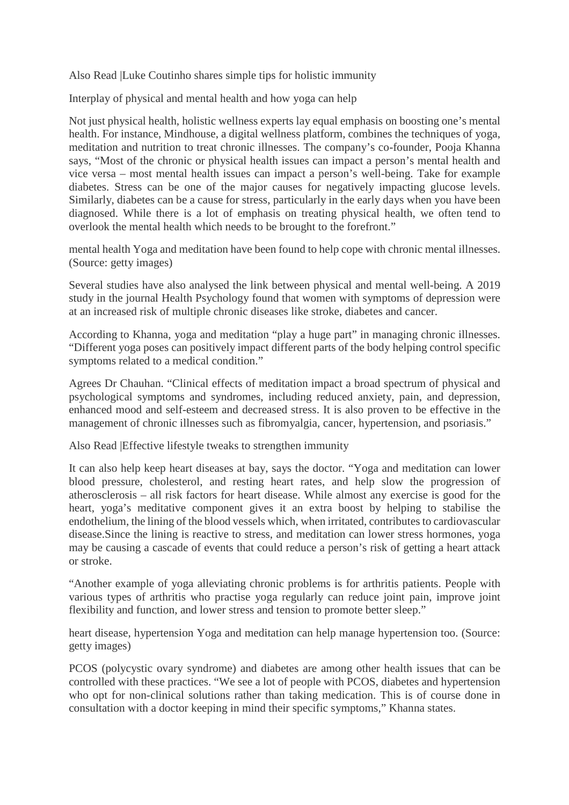Also Read |Luke Coutinho shares simple tips for holistic immunity

Interplay of physical and mental health and how yoga can help

Not just physical health, holistic wellness experts lay equal emphasis on boosting one's mental health. For instance, Mindhouse, a digital wellness platform, combines the techniques of yoga, meditation and nutrition to treat chronic illnesses. The company's co-founder, Pooja Khanna says, "Most of the chronic or physical health issues can impact a person's mental health and vice versa – most mental health issues can impact a person's well-being. Take for example diabetes. Stress can be one of the major causes for negatively impacting glucose levels. Similarly, diabetes can be a cause for stress, particularly in the early days when you have been diagnosed. While there is a lot of emphasis on treating physical health, we often tend to overlook the mental health which needs to be brought to the forefront."

mental health Yoga and meditation have been found to help cope with chronic mental illnesses. (Source: getty images)

Several studies have also analysed the link between physical and mental well-being. A 2019 study in the journal Health Psychology found that women with symptoms of depression were at an increased risk of multiple chronic diseases like stroke, diabetes and cancer.

According to Khanna, yoga and meditation "play a huge part" in managing chronic illnesses. "Different yoga poses can positively impact different parts of the body helping control specific symptoms related to a medical condition."

Agrees Dr Chauhan. "Clinical effects of meditation impact a broad spectrum of physical and psychological symptoms and syndromes, including reduced anxiety, pain, and depression, enhanced mood and self-esteem and decreased stress. It is also proven to be effective in the management of chronic illnesses such as fibromyalgia, cancer, hypertension, and psoriasis."

Also Read |Effective lifestyle tweaks to strengthen immunity

It can also help keep heart diseases at bay, says the doctor. "Yoga and meditation can lower blood pressure, cholesterol, and resting heart rates, and help slow the progression of atherosclerosis – all risk factors for heart disease. While almost any exercise is good for the heart, yoga's meditative component gives it an extra boost by helping to stabilise the endothelium, the lining of the blood vessels which, when irritated, contributes to cardiovascular disease.Since the lining is reactive to stress, and meditation can lower stress hormones, yoga may be causing a cascade of events that could reduce a person's risk of getting a heart attack or stroke.

"Another example of yoga alleviating chronic problems is for arthritis patients. People with various types of arthritis who practise yoga regularly can reduce joint pain, improve joint flexibility and function, and lower stress and tension to promote better sleep."

heart disease, hypertension Yoga and meditation can help manage hypertension too. (Source: getty images)

PCOS (polycystic ovary syndrome) and diabetes are among other health issues that can be controlled with these practices. "We see a lot of people with PCOS, diabetes and hypertension who opt for non-clinical solutions rather than taking medication. This is of course done in consultation with a doctor keeping in mind their specific symptoms," Khanna states.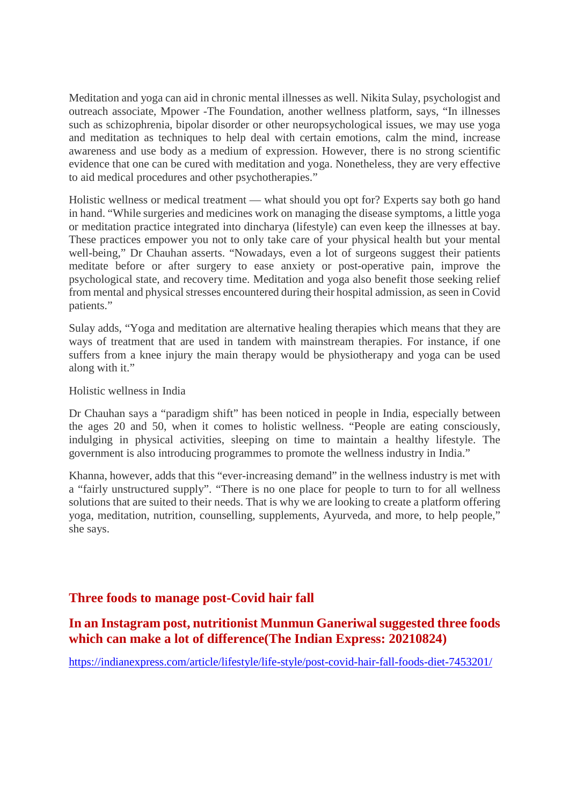Meditation and yoga can aid in chronic mental illnesses as well. Nikita Sulay, psychologist and outreach associate, Mpower -The Foundation, another wellness platform, says, "In illnesses such as schizophrenia, bipolar disorder or other neuropsychological issues, we may use yoga and meditation as techniques to help deal with certain emotions, calm the mind, increase awareness and use body as a medium of expression. However, there is no strong scientific evidence that one can be cured with meditation and yoga. Nonetheless, they are very effective to aid medical procedures and other psychotherapies."

Holistic wellness or medical treatment — what should you opt for? Experts say both go hand in hand. "While surgeries and medicines work on managing the disease symptoms, a little yoga or meditation practice integrated into dincharya (lifestyle) can even keep the illnesses at bay. These practices empower you not to only take care of your physical health but your mental well-being," Dr Chauhan asserts. "Nowadays, even a lot of surgeons suggest their patients meditate before or after surgery to ease anxiety or post-operative pain, improve the psychological state, and recovery time. Meditation and yoga also benefit those seeking relief from mental and physical stresses encountered during their hospital admission, as seen in Covid patients."

Sulay adds, "Yoga and meditation are alternative healing therapies which means that they are ways of treatment that are used in tandem with mainstream therapies. For instance, if one suffers from a knee injury the main therapy would be physiotherapy and yoga can be used along with it."

Holistic wellness in India

Dr Chauhan says a "paradigm shift" has been noticed in people in India, especially between the ages 20 and 50, when it comes to holistic wellness. "People are eating consciously, indulging in physical activities, sleeping on time to maintain a healthy lifestyle. The government is also introducing programmes to promote the wellness industry in India."

Khanna, however, adds that this "ever-increasing demand" in the wellness industry is met with a "fairly unstructured supply". "There is no one place for people to turn to for all wellness solutions that are suited to their needs. That is why we are looking to create a platform offering yoga, meditation, nutrition, counselling, supplements, Ayurveda, and more, to help people," she says.

#### **Three foods to manage post-Covid hair fall**

#### **In an Instagram post, nutritionist Munmun Ganeriwal suggested three foods which can make a lot of difference(The Indian Express: 20210824)**

https://indianexpress.com/article/lifestyle/life-style/post-covid-hair-fall-foods-diet-7453201/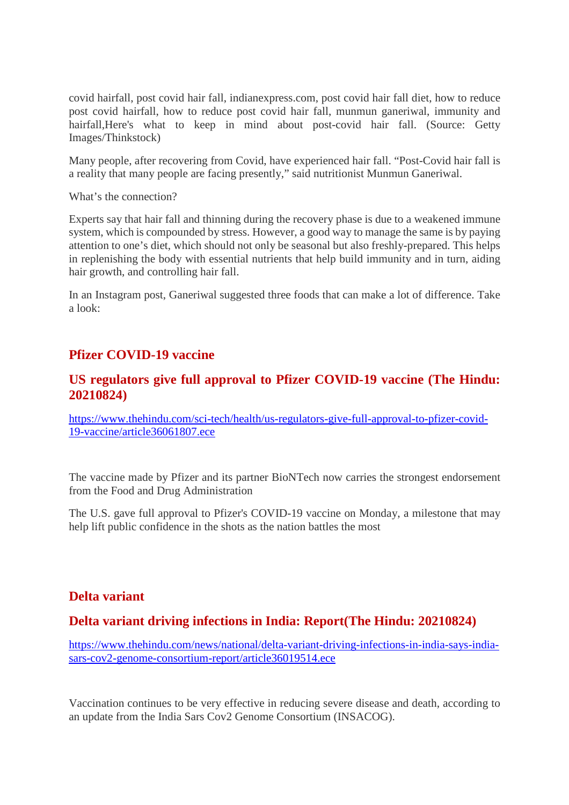covid hairfall, post covid hair fall, indianexpress.com, post covid hair fall diet, how to reduce post covid hairfall, how to reduce post covid hair fall, munmun ganeriwal, immunity and hairfall,Here's what to keep in mind about post-covid hair fall. (Source: Getty Images/Thinkstock)

Many people, after recovering from Covid, have experienced hair fall. "Post-Covid hair fall is a reality that many people are facing presently," said nutritionist Munmun Ganeriwal.

What's the connection?

Experts say that hair fall and thinning during the recovery phase is due to a weakened immune system, which is compounded by stress. However, a good way to manage the same is by paying attention to one's diet, which should not only be seasonal but also freshly-prepared. This helps in replenishing the body with essential nutrients that help build immunity and in turn, aiding hair growth, and controlling hair fall.

In an Instagram post, Ganeriwal suggested three foods that can make a lot of difference. Take a look:

#### **Pfizer COVID-19 vaccine**

#### **US regulators give full approval to Pfizer COVID-19 vaccine (The Hindu: 20210824)**

https://www.thehindu.com/sci-tech/health/us-regulators-give-full-approval-to-pfizer-covid-19-vaccine/article36061807.ece

The vaccine made by Pfizer and its partner BioNTech now carries the strongest endorsement from the Food and Drug Administration

The U.S. gave full approval to Pfizer's COVID-19 vaccine on Monday, a milestone that may help lift public confidence in the shots as the nation battles the most

#### **Delta variant**

#### **Delta variant driving infections in India: Report(The Hindu: 20210824)**

https://www.thehindu.com/news/national/delta-variant-driving-infections-in-india-says-indiasars-cov2-genome-consortium-report/article36019514.ece

Vaccination continues to be very effective in reducing severe disease and death, according to an update from the India Sars Cov2 Genome Consortium (INSACOG).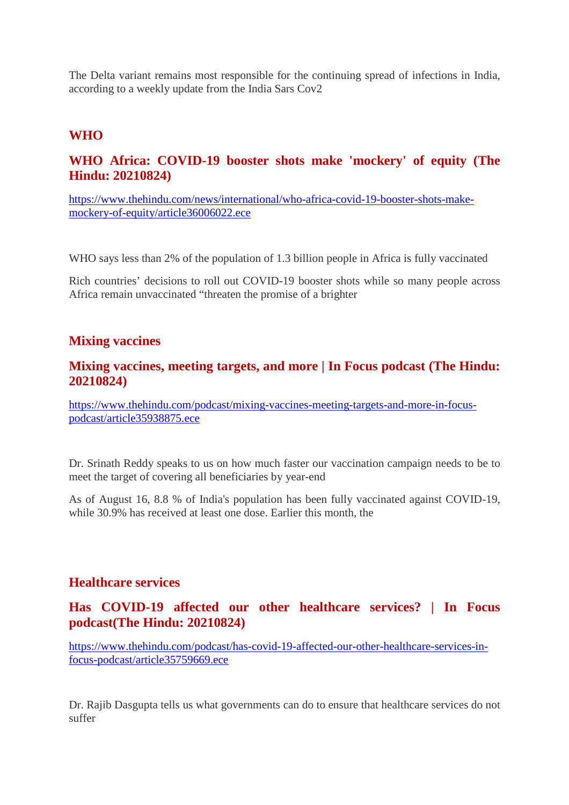The Delta variant remains most responsible for the continuing spread of infections in India, according to a weekly update from the India Sars Cov2

#### **WHO**

### **WHO Africa: COVID-19 booster shots make 'mockery' of equity (The Hindu: 20210824)**

https://www.thehindu.com/news/international/who-africa-covid-19-booster-shots-makemockery-of-equity/article36006022.ece

WHO says less than 2% of the population of 1.3 billion people in Africa is fully vaccinated

Rich countries' decisions to roll out COVID-19 booster shots while so many people across Africa remain unvaccinated "threaten the promise of a brighter

#### **Mixing vaccines**

#### **Mixing vaccines, meeting targets, and more | In Focus podcast (The Hindu: 20210824)**

https://www.thehindu.com/podcast/mixing-vaccines-meeting-targets-and-more-in-focuspodcast/article35938875.ece

Dr. Srinath Reddy speaks to us on how much faster our vaccination campaign needs to be to meet the target of covering all beneficiaries by year-end

As of August 16, 8.8 % of India's population has been fully vaccinated against COVID-19, while 30.9% has received at least one dose. Earlier this month, the

#### **Healthcare services**

### **Has COVID-19 affected our other healthcare services? | In Focus podcast(The Hindu: 20210824)**

https://www.thehindu.com/podcast/has-covid-19-affected-our-other-healthcare-services-infocus-podcast/article35759669.ece

Dr. Rajib Dasgupta tells us what governments can do to ensure that healthcare services do not suffer